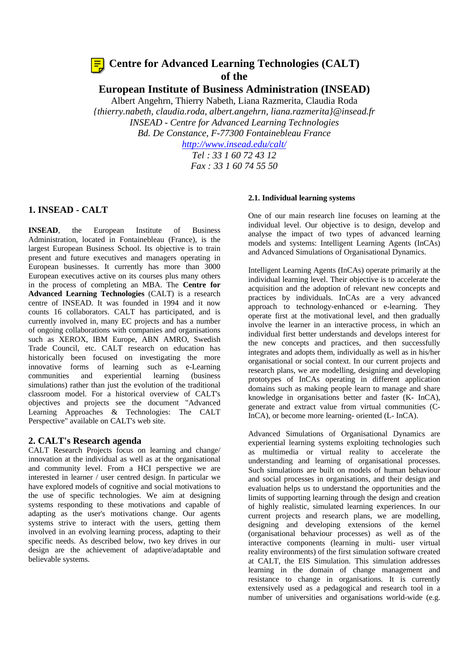# **Centre for Advanced Learning Technologies (CALT) of the**

**European Institute of Business Administration (INSEAD)**

Albert Angehrn, Thierry Nabeth, Liana Razmerita, Claudia Roda *{thierry.nabeth, claudia.roda, albert.angehrn, liana.razmerita}@insead.fr INSEAD - Centre for Advanced Learning Technologies Bd. De Constance, F-77300 Fontainebleau France http://www.insead.edu/calt/ Tel : 33 1 60 72 43 12*

*Fax : 33 1 60 74 55 50*

# **1. INSEAD - CALT**

**INSEAD**, the European Institute of Business Administration, located in Fontainebleau (France), is the largest European Business School. Its objective is to train present and future executives and managers operating in European businesses. It currently has more than 3000 European executives active on its courses plus many others in the process of completing an MBA. The **Centre for Advanced Learning Technologies** (CALT) is a research centre of INSEAD. It was founded in 1994 and it now counts 16 collaborators. CALT has participated, and is currently involved in, many EC projects and has a number of ongoing collaborations with companies and organisations such as XEROX, IBM Europe, ABN AMRO, Swedish Trade Council, etc. CALT research on education has historically been focused on investigating the more innovative forms of learning such as e-Learning communities and experiential learning (business simulations) rather than just the evolution of the traditional classroom model. For a historical overview of CALT's objectives and projects see the document "Advanced Learning Approaches & Technologies: The CALT Perspective" available on CALT's web site.

# **2. CALT's Research agenda**

CALT Research Projects focus on learning and change/ innovation at the individual as well as at the organisational and community level. From a HCI perspective we are interested in learner / user centred design. In particular we have explored models of cognitive and social motivations to the use of specific technologies. We aim at designing systems responding to these motivations and capable of adapting as the user's motivations change. Our agents systems strive to interact with the users, getting them involved in an evolving learning process, adapting to their specific needs. As described below, two key drives in our design are the achievement of adaptive/adaptable and believable systems.

#### **2.1. Individual learning systems**

One of our main research line focuses on learning at the individual level. Our objective is to design, develop and analyse the impact of two types of advanced learning models and systems: Intelligent Learning Agents (InCAs) and Advanced Simulations of Organisational Dynamics.

Intelligent Learning Agents (InCAs) operate primarily at the individual learning level. Their objective is to accelerate the acquisition and the adoption of relevant new concepts and practices by individuals. InCAs are a very advanced approach to technology-enhanced or e-learning. They operate first at the motivational level, and then gradually involve the learner in an interactive process, in which an individual first better understands and develops interest for the new concepts and practices, and then successfully integrates and adopts them, individually as well as in his/her organisational or social context. In our current projects and research plans, we are modelling, designing and developing prototypes of InCAs operating in different application domains such as making people learn to manage and share knowledge in organisations better and faster (K- InCA), generate and extract value from virtual communities (C-InCA), or become more learning- oriented (L- InCA).

Advanced Simulations of Organisational Dynamics are experiential learning systems exploiting technologies such as multimedia or virtual reality to accelerate the understanding and learning of organisational processes. Such simulations are built on models of human behaviour and social processes in organisations, and their design and evaluation helps us to understand the opportunities and the limits of supporting learning through the design and creation of highly realistic, simulated learning experiences. In our current projects and research plans, we are modelling, designing and developing extensions of the kernel (organisational behaviour processes) as well as of the interactive components (learning in multi- user virtual reality environments) of the first simulation software created at CALT, the EIS Simulation. This simulation addresses learning in the domain of change management and resistance to change in organisations. It is currently extensively used as a pedagogical and research tool in a number of universities and organisations world-wide (e.g.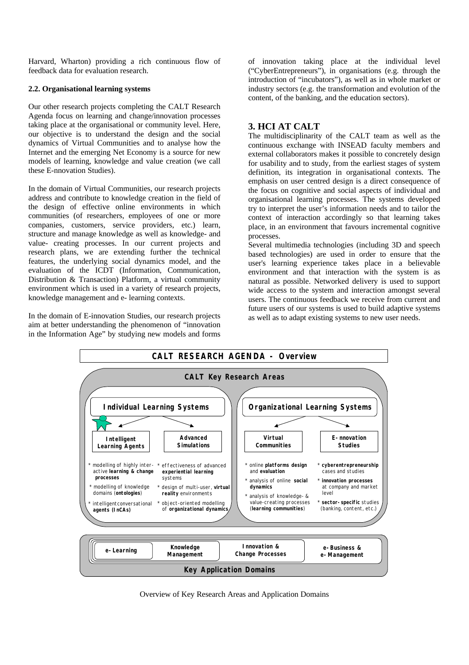Harvard, Wharton) providing a rich continuous flow of feedback data for evaluation research.

# **2.2. Organisational learning systems**

Our other research projects completing the CALT Research Agenda focus on learning and change/innovation processes taking place at the organisational or community level. Here, our objective is to understand the design and the social dynamics of Virtual Communities and to analyse how the Internet and the emerging Net Economy is a source for new models of learning, knowledge and value creation (we call these E-nnovation Studies).

In the domain of Virtual Communities, our research projects address and contribute to knowledge creation in the field of the design of effective online environments in which communities (of researchers, employees of one or more companies, customers, service providers, etc.) learn, structure and manage knowledge as well as knowledge- and value- creating processes. In our current projects and research plans, we are extending further the technical features, the underlying social dynamics model, and the evaluation of the ICDT (Information, Communication, Distribution & Transaction) Platform, a virtual community environment which is used in a variety of research projects, knowledge management and e- learning contexts.

In the domain of E-innovation Studies, our research projects aim at better understanding the phenomenon of "innovation in the Information Age" by studying new models and forms

of innovation taking place at the individual level ("CyberEntrepreneurs"), in organisations (e.g. through the introduction of "incubators"), as well as in whole market or industry sectors (e.g. the transformation and evolution of the content, of the banking, and the education sectors).

# **3. HCI AT CALT**

The multidisciplinarity of the CALT team as well as the continuous exchange with INSEAD faculty members and external collaborators makes it possible to concretely design for usability and to study, from the earliest stages of system definition, its integration in organisational contexts. The emphasis on user centred design is a direct consequence of the focus on cognitive and social aspects of individual and organisational learning processes. The systems developed try to interpret the user's information needs and to tailor the context of interaction accordingly so that learning takes place, in an environment that favours incremental cognitive processes.

Several multimedia technologies (including 3D and speech based technologies) are used in order to ensure that the user's learning experience takes place in a believable environment and that interaction with the system is as natural as possible. Networked delivery is used to support wide access to the system and interaction amongst several users. The continuous feedback we receive from current and future users of our systems is used to build adaptive systems as well as to adapt existing systems to new user needs.



Overview of Key Research Areas and Application Domains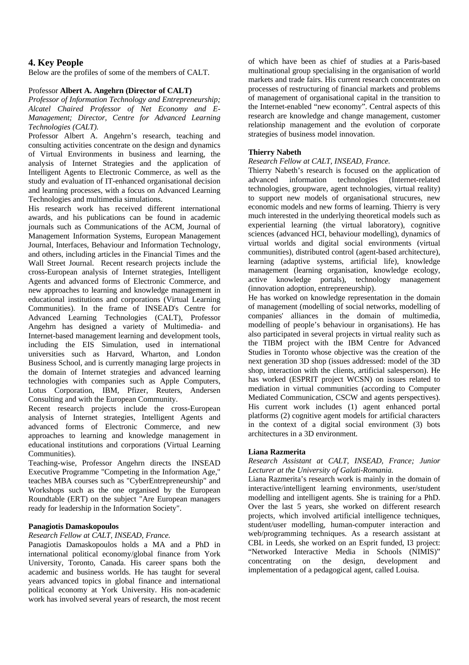# **4. Key People**

Below are the profiles of some of the members of CALT.

# Professor **Albert A. Angehrn (Director of CALT)**

*Professor of Information Technology and Entrepreneurship; Alcatel Chaired Professor of Net Economy and E-Management; Director, Centre for Advanced Learning Technologies (CALT).*

Professor Albert A. Angehrn's research, teaching and consulting activities concentrate on the design and dynamics of Virtual Environments in business and learning, the analysis of Internet Strategies and the application of Intelligent Agents to Electronic Commerce, as well as the study and evaluation of IT-enhanced organisational decision and learning processes, with a focus on Advanced Learning Technologies and multimedia simulations.

His research work has received different international awards, and his publications can be found in academic journals such as Communications of the ACM, Journal of Management Information Systems, European Management Journal, Interfaces, Behaviour and Information Technology, and others, including articles in the Financial Times and the Wall Street Journal. Recent research projects include the cross-European analysis of Internet strategies, Intelligent Agents and advanced forms of Electronic Commerce, and new approaches to learning and knowledge management in educational institutions and corporations (Virtual Learning Communities). In the frame of INSEAD's Centre for Advanced Learning Technologies (CALT), Professor Angehrn has designed a variety of Multimedia- and Internet-based management learning and development tools, including the EIS Simulation, used in international universities such as Harvard, Wharton, and London Business School, and is currently managing large projects in the domain of Internet strategies and advanced learning technologies with companies such as Apple Computers, Lotus Corporation, IBM, Pfizer, Reuters, Andersen Consulting and with the European Community.

Recent research projects include the cross-European analysis of Internet strategies, Intelligent Agents and advanced forms of Electronic Commerce, and new approaches to learning and knowledge management in educational institutions and corporations (Virtual Learning Communities).

Teaching-wise, Professor Angehrn directs the INSEAD Executive Programme "Competing in the Information Age," teaches MBA courses such as "CyberEntrepreneurship" and Workshops such as the one organised by the European Roundtable (ERT) on the subject "Are European managers ready for leadership in the Information Society".

# **Panagiotis Damaskopoulos**

# *Research Fellow at CALT, INSEAD, France.*

Panagiotis Damaskopoulos holds a MA and a PhD in international political economy/global finance from York University, Toronto, Canada. His career spans both the academic and business worlds. He has taught for several years advanced topics in global finance and international political economy at York University. His non-academic work has involved several years of research, the most recent

of which have been as chief of studies at a Paris-based multinational group specialising in the organisation of world markets and trade fairs. His current research concentrates on processes of restructuring of financial markets and problems of management of organisational capital in the transition to the Internet-enabled "new economy". Central aspects of this research are knowledge and change management, customer relationship management and the evolution of corporate strategies of business model innovation.

# **Thierry Nabeth**

### *Research Fellow at CALT, INSEAD, France.*

Thierry Nabeth's research is focused on the application of advanced information technologies (Internet-related technologies, groupware, agent technologies, virtual reality) to support new models of organisational strucures, new economic models and new forms of learning. Thierry is very much interested in the underlying theoretical models such as experiential learning (the virtual laboratory), cognitive sciences (advanced HCI, behaviour modelling), dynamics of virtual worlds and digital social environments (virtual communities), distributed control (agent-based architecture), learning (adaptive systems, artificial life), knowledge management (learning organisation, knowledge ecology, active knowledge portals), technology management (innovation adoption, entrepreneurship).

He has worked on knowledge representation in the domain of management (modelling of social networks, modelling of companies' alliances in the domain of multimedia, modelling of people's behaviour in organisations). He has also participated in several projects in virtual reality such as the TIBM project with the IBM Centre for Advanced Studies in Toronto whose objective was the creation of the next generation 3D shop (issues addressed: model of the 3D shop, interaction with the clients, artificial salesperson). He has worked (ESPRIT project WCSN) on issues related to mediation in virtual communities (according to Computer Mediated Communication, CSCW and agents perspectives). His current work includes (1) agent enhanced portal platforms (2) cognitive agent models for artificial characters in the context of a digital social environment (3) bots architectures in a 3D environment.

# **Liana Razmerita**

### *Research Assistant at CALT, INSEAD, France; Junior Lecturer at the University of Galati-Romania.*

Liana Razmerita's research work is mainly in the domain of interactive/intelligent learning environments, user/student modelling and intelligent agents. She is training for a PhD. Over the last 5 years, she worked on different research projects, which involved artificial intelligence techniques, student/user modelling, human-computer interaction and web/programming techniques. As a research assistant at CBL in Leeds, she worked on an Esprit funded, I3 project: "Networked Interactive Media in Schools (NIMIS)" concentrating on the design, development and implementation of a pedagogical agent, called Louisa.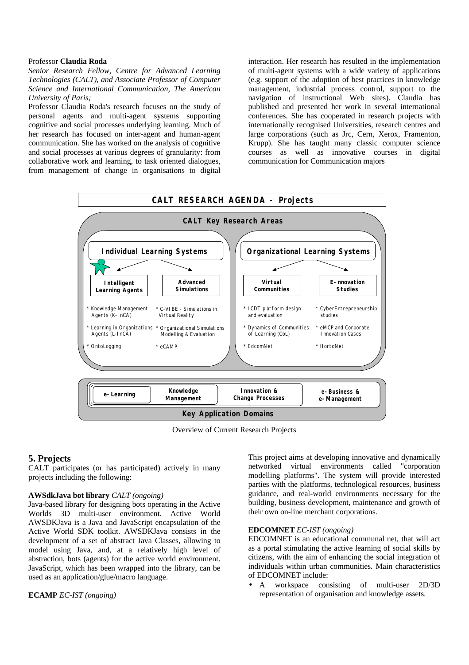#### Professor **Claudia Roda**

*Senior Research Fellow, Centre for Advanced Learning Technologies (CALT), and Associate Professor of Computer Science and International Communication, The American University of Paris;*

Professor Claudia Roda's research focuses on the study of personal agents and multi-agent systems supporting cognitive and social processes underlying learning. Much of her research has focused on inter-agent and human-agent communication. She has worked on the analysis of cognitive and social processes at various degrees of granularity: from collaborative work and learning, to task oriented dialogues, from management of change in organisations to digital

interaction. Her research has resulted in the implementation of multi-agent systems with a wide variety of applications (e.g. support of the adoption of best practices in knowledge management, industrial process control, support to the navigation of instructional Web sites). Claudia has published and presented her work in several international conferences. She has cooperated in research projects with internationally recognised Universities, research centres and large corporations (such as Jrc, Cern, Xerox, Framenton, Krupp). She has taught many classic computer science courses as well as innovative courses in digital communication for Communication majors



Overview of Current Research Projects

# **5. Projects**

CALT participates (or has participated) actively in many projects including the following:

#### **AWSdkJava bot library** *CALT (ongoing)*

Java-based library for designing bots operating in the Active Worlds 3D multi-user environment. Active World AWSDKJava is a Java and JavaScript encapsulation of the Active World SDK toolkit. AWSDKJava consists in the development of a set of abstract Java Classes, allowing to model using Java, and, at a relatively high level of abstraction, bots (agents) for the active world environment. JavaScript, which has been wrapped into the library, can be used as an application/glue/macro language.

### **ECAMP** *EC-IST (ongoing)*

This project aims at developing innovative and dynamically networked virtual environments called "corporation modelling platforms". The system will provide interested parties with the platforms, technological resources, business guidance, and real-world environments necessary for the building, business development, maintenance and growth of their own on-line merchant corporations.

#### **EDCOMNET** *EC-IST (ongoing)*

EDCOMNET is an educational communal net, that will act as a portal stimulating the active learning of social skills by citizens, with the aim of enhancing the social integration of individuals within urban communities. Main characteristics of EDCOMNET include:

• A workspace consisting of multi-user 2D/3D representation of organisation and knowledge assets.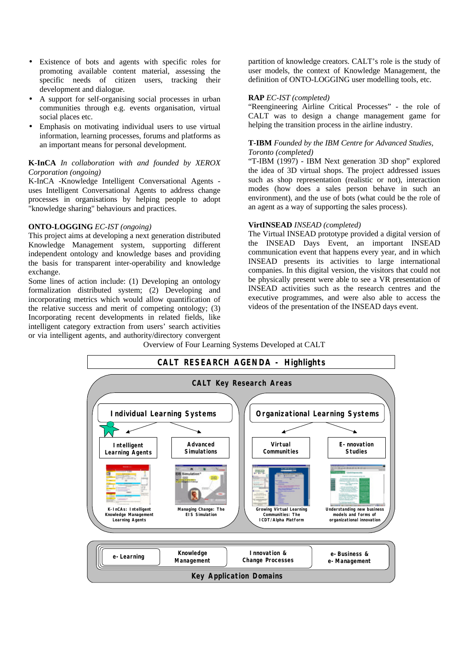- Existence of bots and agents with specific roles for promoting available content material, assessing the specific needs of citizen users, tracking their development and dialogue.
- A support for self-organising social processes in urban communities through e.g. events organisation, virtual social places etc.
- Emphasis on motivating individual users to use virtual information, learning processes, forums and platforms as an important means for personal development.

## **K-InCA** *In collaboration with and founded by XEROX Corporation (ongoing)*

K-InCA -Knowledge Intelligent Conversational Agents uses Intelligent Conversational Agents to address change processes in organisations by helping people to adopt "knowledge sharing" behaviours and practices.

# **ONTO-LOGGING** *EC-IST (ongoing)*

This project aims at developing a next generation distributed Knowledge Management system, supporting different independent ontology and knowledge bases and providing the basis for transparent inter-operability and knowledge exchange.

Some lines of action include: (1) Developing an ontology formalization distributed system; (2) Developing and incorporating metrics which would allow quantification of the relative success and merit of competing ontology; (3) Incorporating recent developments in related fields, like intelligent category extraction from users' search activities or via intelligent agents, and authority/directory convergent

partition of knowledge creators. CALT's role is the study of user models, the context of Knowledge Management, the definition of ONTO-LOGGING user modelling tools, etc.

### **RAP** *EC-IST (completed)*

"Reengineering Airline Critical Processes" - the role of CALT was to design a change management game for helping the transition process in the airline industry.

## **T-IBM** *Founded by the IBM Centre for Advanced Studies, Toronto (completed)*

"T-IBM (1997) - IBM Next generation 3D shop" explored the idea of 3D virtual shops. The project addressed issues such as shop representation (realistic or not), interaction modes (how does a sales person behave in such an environment), and the use of bots (what could be the role of an agent as a way of supporting the sales process).

#### **VirtINSEAD** *INSEAD (completed)*

The Virtual INSEAD prototype provided a digital version of the INSEAD Days Event, an important INSEAD communication event that happens every year, and in which INSEAD presents its activities to large international companies. In this digital version, the visitors that could not be physically present were able to see a VR presentation of INSEAD activities such as the research centres and the executive programmes, and were also able to access the videos of the presentation of the INSEAD days event.

Overview of Four Learning Systems Developed at CALT